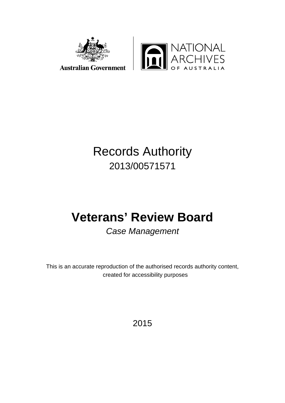

## Records Authority 2013/00571571

# **Veterans' Review Board**

## *Case Management*

This is an accurate reproduction of the authorised records authority content, created for accessibility purposes

2015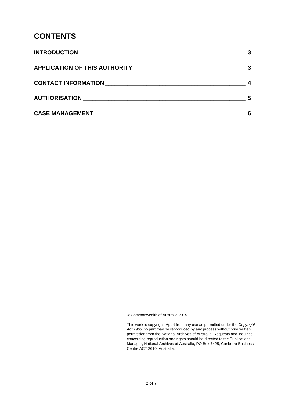#### **CONTENTS**

|                                                                                                                      | 5 |
|----------------------------------------------------------------------------------------------------------------------|---|
| <b>CASE MANAGEMENT EXAMPLE AND SERVICE SERVICE SERVICE SERVICE SERVICE SERVICE SERVICE SERVICE SERVICE SERVICE S</b> |   |

© Commonwealth of Australia 2015

This work is copyright. Apart from any use as permitted under the *Copyright Act 1968,* no part may be reproduced by any process without prior written permission from the National Archives of Australia. Requests and inquiries concerning reproduction and rights should be directed to the Publications Manager, National Archives of Australia, PO Box 7425, Canberra Business Centre ACT 2610, Australia.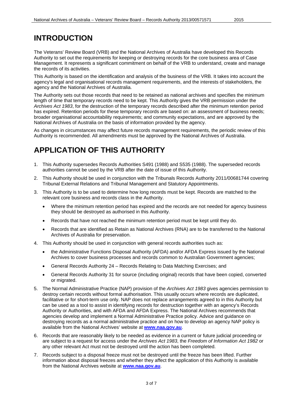#### <span id="page-2-0"></span>**INTRODUCTION**

The Veterans' Review Board (VRB) and the National Archives of Australia have developed this Records Authority to set out the requirements for keeping or destroying records for the core business area of Case Management. It represents a significant commitment on behalf of the VRB to understand, create and manage the records of its activities.

This Authority is based on the identification and analysis of the business of the VRB. It takes into account the agency's legal and organisational records management requirements, and the interests of stakeholders, the agency and the National Archives of Australia.

The Authority sets out those records that need to be retained as national archives and specifies the minimum length of time that temporary records need to be kept. This Authority gives the VRB permission under the *Archives Act 1983*, for the destruction of the temporary records described after the minimum retention period has expired. Retention periods for these temporary records are based on: an assessment of business needs; broader organisational accountability requirements; and community expectations, and are approved by the National Archives of Australia on the basis of information provided by the agency.

As changes in circumstances may affect future records management requirements, the periodic review of this Authority is recommended. All amendments must be approved by the National Archives of Australia.

#### <span id="page-2-1"></span>**APPLICATION OF THIS AUTHORITY**

- 1. This Authority supersedes Records Authorities S491 (1988) and S535 (1988). The superseded records authorities cannot be used by the VRB after the date of issue of this Authority.
- 2. This Authority should be used in conjunction with the Tribunals Records Authority 2011/00681744 covering Tribunal External Relations and Tribunal Management and Statutory Appointments.
- 3. This Authority is to be used to determine how long records must be kept. Records are matched to the relevant core business and records class in the Authority.
	- Where the minimum retention period has expired and the records are not needed for agency business they should be destroyed as authorised in this Authority.
	- Records that have not reached the minimum retention period must be kept until they do.
	- Records that are identified as Retain as National Archives (RNA) are to be transferred to the National Archives of Australia for preservation.
- 4. This Authority should be used in conjunction with general records authorities such as:
	- the Administrative Functions Disposal Authority (AFDA) and/or AFDA Express issued by the National Archives to cover business processes and records common to Australian Government agencies;
	- General Records Authority 24 Records Relating to Data Matching Exercises; and
	- General Records Authority 31 for source (including original) records that have been copied, converted or migrated.
- 5. The Normal Administrative Practice (NAP) provision of the *Archives Act 1983* gives agencies permission to destroy certain records without formal authorisation. This usually occurs where records are duplicated, facilitative or for short-term use only. NAP does not replace arrangements agreed to in this Authority but can be used as a tool to assist in identifying records for destruction together with an agency's Records Authority or Authorities, and with AFDA and AFDA Express. The National Archives recommends that agencies develop and implement a Normal Administrative Practice policy. Advice and guidance on destroying records as a normal administrative practice and on how to develop an agency NAP policy is available from the National Archives' website at **[www.naa.gov.au](http://www.naa.gov.au/)**.
- 6. Records that are reasonably likely to be needed as evidence in a current or future judicial proceeding or are subject to a request for access under the *Archives Act 1983*, the *Freedom of Information Act 1982* or any other relevant Act must not be destroyed until the action has been completed.
- 7. Records subject to a disposal freeze must not be destroyed until the freeze has been lifted. Further information about disposal freezes and whether they affect the application of this Authority is available from the National Archives website at **[www.naa.gov.au](http://www.naa.gov.au/)**.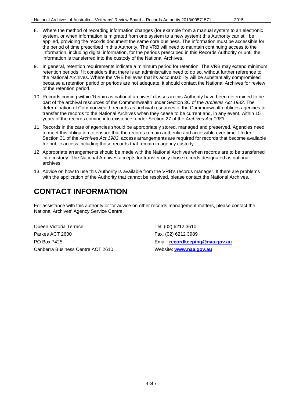- 8. Where the method of recording information changes (for example from a manual system to an electronic system, or when information is migrated from one system to a new system) this Authority can still be applied, providing the records document the same core business. The information must be accessible for the period of time prescribed in this Authority. The VRB will need to maintain continuing access to the information, including digital information, for the periods prescribed in this Records Authority or until the information is transferred into the custody of the National Archives.
- 9. In general, retention requirements indicate a minimum period for retention. The VRB may extend minimum retention periods if it considers that there is an administrative need to do so, without further reference to the National Archives. Where the VRB believes that its accountability will be substantially compromised because a retention period or periods are not adequate, it should contact the National Archives for review of the retention period.
- 10. Records coming within 'Retain as national archives' classes in this Authority have been determined to be part of the archival resources of the Commonwealth under Section 3C of the *Archives Act 1983*. The determination of Commonwealth records as archival resources of the Commonwealth obliges agencies to transfer the records to the National Archives when they cease to be current and, in any event, within 15 years of the records coming into existence, under Section 27 of the *Archives Act 1983*.
- 11. Records in the care of agencies should be appropriately stored, managed and preserved. Agencies need to meet this obligation to ensure that the records remain authentic and accessible over time. Under Section 31 of the *Archives Act 1983*, access arrangements are required for records that become available for public access including those records that remain in agency custody.
- 12. Appropriate arrangements should be made with the National Archives when records are to be transferred into custody. The National Archives accepts for transfer only those records designated as national archives.
- 13. Advice on how to use this Authority is available from the VRB's records manager. If there are problems with the application of the Authority that cannot be resolved, please contact the National Archives.

### <span id="page-3-0"></span>**CONTACT INFORMATION**

For assistance with this authority or for advice on other records management matters, please contact the National Archives' Agency Service Centre.

Queen Victoria Terrace Tel: (02) 6212 3610 Parkes ACT 2600 Fax: (02) 6212 3989 PO Box 7425 Email: **[recordkeeping@naa.gov.au](mailto:recordkeeping@naa.gov.au)** Canberra Business Centre ACT 2610 Website: [www.naa.gov.au](http://www.naa.gov.au/)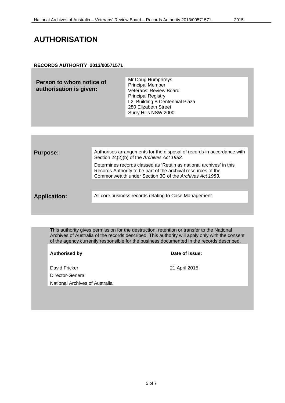#### <span id="page-4-0"></span>**RECORDS AUTHORITY 2013/00571571**

| Person to whom notice of<br>authorisation is given: | Mr Doug Humphreys<br><b>Principal Member</b><br>Veterans' Review Board<br><b>Principal Registry</b><br>L2, Building B Centennial Plaza<br>280 Elizabeth Street<br>Surry Hills NSW 2000 |
|-----------------------------------------------------|----------------------------------------------------------------------------------------------------------------------------------------------------------------------------------------|
|                                                     |                                                                                                                                                                                        |
|                                                     |                                                                                                                                                                                        |

| <b>Purpose:</b>     | Authorises arrangements for the disposal of records in accordance with<br>Section 24(2)(b) of the Archives Act 1983.                                                                            |
|---------------------|-------------------------------------------------------------------------------------------------------------------------------------------------------------------------------------------------|
|                     | Determines records classed as 'Retain as national archives' in this<br>Records Authority to be part of the archival resources of the<br>Commonwealth under Section 3C of the Archives Act 1983. |
|                     |                                                                                                                                                                                                 |
| <b>Application:</b> | All core business records relating to Case Management.                                                                                                                                          |
|                     |                                                                                                                                                                                                 |

This authority gives permission for the destruction, retention or transfer to the National Archives of Australia of the records described. This authority will apply only with the consent of the agency currently responsible for the business documented in the records described.

**Authorised by Date of issue:**

David Fricker 21 April 2015 Director-General National Archives of Australia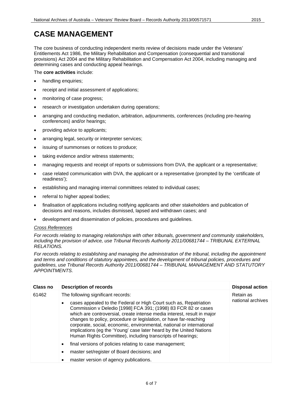#### <span id="page-5-0"></span>**CASE MANAGEMENT**

The core business of conducting independent merits review of decisions made under the Veterans' Entitlements Act 1986, the Military Rehabilitation and Compensation (consequential and transitional provisions) Act 2004 and the Military Rehabilitation and Compensation Act 2004, including managing and determining cases and conducting appeal hearings.

The **core activities** include:

- handling enquiries:
- receipt and initial assessment of applications;
- monitoring of case progress;
- research or investigation undertaken during operations;
- arranging and conducting mediation, arbitration, adjournments, conferences (including pre-hearing conferences) and/or hearings;
- providing advice to applicants;
- arranging legal, security or interpreter services;
- issuing of summonses or notices to produce;
- taking evidence and/or witness statements;
- managing requests and receipt of reports or submissions from DVA, the applicant or a representative;
- case related communication with DVA, the applicant or a representative (prompted by the 'certificate of readiness');
- establishing and managing internal committees related to individual cases;
- referral to higher appeal bodies;
- finalisation of applications including notifying applicants and other stakeholders and publication of decisions and reasons, includes dismissed, lapsed and withdrawn cases; and
- development and dissemination of policies, procedures and guidelines.

#### *Cross References*

*For records relating to managing relationships with other tribunals, government and community stakeholders, including the provision of advice, use Tribunal Records Authority 2011/00681744 – TRIBUNAL EXTERNAL RELATIONS.*

*For records relating to establishing and managing the administration of the tribunal, including the appointment and terms and conditions of statutory appointees, and the development of tribunal policies, procedures and guidelines, use Tribunal Records Authority 2011/00681744 – TRIBUNAL MANAGEMENT AND STATUTORY APPOINTMENTS.*

| Class no | Description of records                                                                                                                                                                                                                                                                                                                                                                                                                                                                             | <b>Disposal action</b> |  |
|----------|----------------------------------------------------------------------------------------------------------------------------------------------------------------------------------------------------------------------------------------------------------------------------------------------------------------------------------------------------------------------------------------------------------------------------------------------------------------------------------------------------|------------------------|--|
| 61462    | The following significant records:                                                                                                                                                                                                                                                                                                                                                                                                                                                                 | Retain as              |  |
|          | cases appealed to the Federal or High Court such as, Repatriation<br>Commission v Deledio [1998] FCA 391; (1998) 83 FCR 82 or cases<br>which are controversial, create intense media interest, result in major<br>changes to policy, procedure or legislation, or have far-reaching<br>corporate, social, economic, environmental, national or international<br>implications (eg the 'Young' case later heard by the United Nations<br>Human Rights Committee), including transcripts of hearings; | national archives      |  |
|          | final versions of policies relating to case management;<br>$\bullet$                                                                                                                                                                                                                                                                                                                                                                                                                               |                        |  |
|          | master set/register of Board decisions; and                                                                                                                                                                                                                                                                                                                                                                                                                                                        |                        |  |
|          | master version of agency publications.                                                                                                                                                                                                                                                                                                                                                                                                                                                             |                        |  |